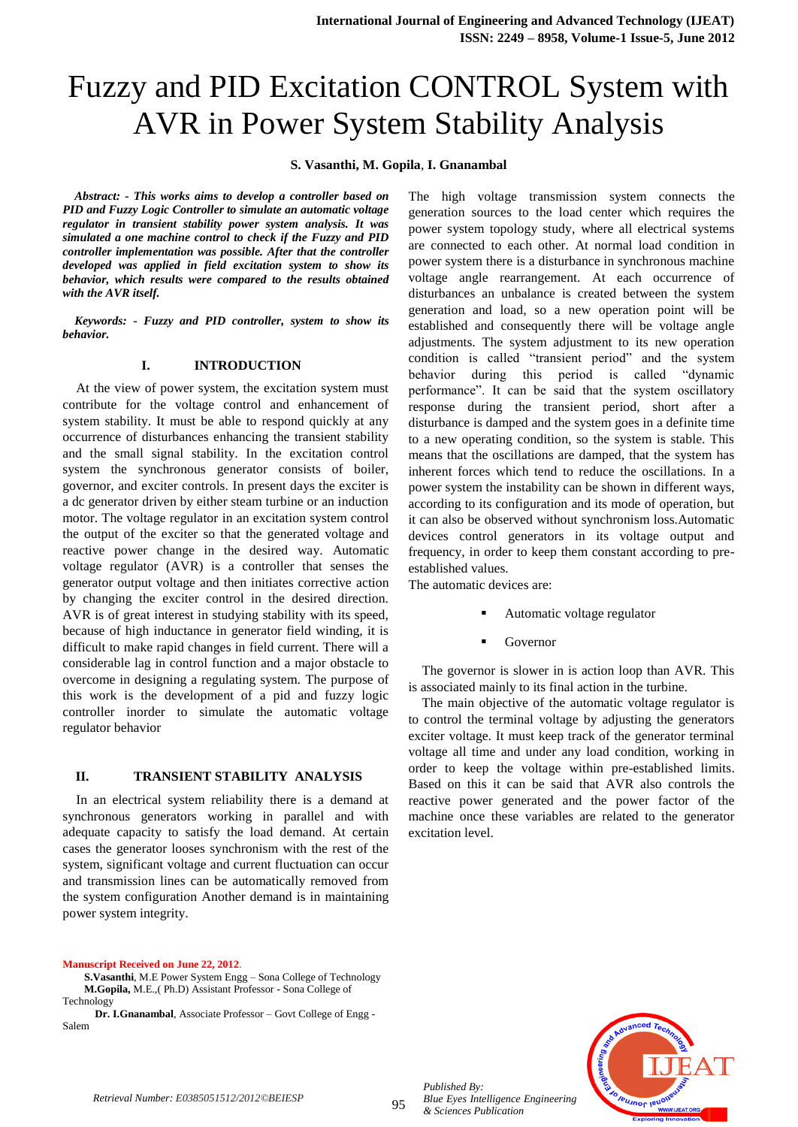# Fuzzy and PID Excitation CONTROL System with AVR in Power System Stability Analysis

**S. Vasanthi, M. Gopila**, **I. Gnanambal**

*Abstract: - This works aims to develop a controller based on PID and Fuzzy Logic Controller to simulate an automatic voltage regulator in transient stability power system analysis. It was simulated a one machine control to check if the Fuzzy and PID controller implementation was possible. After that the controller developed was applied in field excitation system to show its behavior, which results were compared to the results obtained with the AVR itself.* 

*Keywords: - Fuzzy and PID controller, system to show its behavior.*

## **I. INTRODUCTION**

At the view of power system, the excitation system must contribute for the voltage control and enhancement of system stability. It must be able to respond quickly at any occurrence of disturbances enhancing the transient stability and the small signal stability. In the excitation control system the synchronous generator consists of boiler, governor, and exciter controls. In present days the exciter is a dc generator driven by either steam turbine or an induction motor. The voltage regulator in an excitation system control the output of the exciter so that the generated voltage and reactive power change in the desired way. Automatic voltage regulator (AVR) is a controller that senses the generator output voltage and then initiates corrective action by changing the exciter control in the desired direction. AVR is of great interest in studying stability with its speed, because of high inductance in generator field winding, it is difficult to make rapid changes in field current. There will a considerable lag in control function and a major obstacle to overcome in designing a regulating system. The purpose of this work is the development of a pid and fuzzy logic controller inorder to simulate the automatic voltage regulator behavior

## **II. TRANSIENT STABILITY ANALYSIS**

In an electrical system reliability there is a demand at synchronous generators working in parallel and with adequate capacity to satisfy the load demand. At certain cases the generator looses synchronism with the rest of the system, significant voltage and current fluctuation can occur and transmission lines can be automatically removed from the system configuration Another demand is in maintaining power system integrity.

### **Manuscript Received on June 22, 2012**.

 **S.Vasanthi**, M.E Power System Engg – Sona College of Technology **M.Gopila,** M.E.,( Ph.D) Assistant Professor - Sona College of Technology

 **Dr. I.Gnanambal**, Associate Professor – Govt College of Engg - Salem

The high voltage transmission system connects the generation sources to the load center which requires the power system topology study, where all electrical systems are connected to each other. At normal load condition in power system there is a disturbance in synchronous machine voltage angle rearrangement. At each occurrence of disturbances an unbalance is created between the system generation and load, so a new operation point will be established and consequently there will be voltage angle adjustments. The system adjustment to its new operation condition is called "transient period" and the system behavior during this period is called "dynamic performance". It can be said that the system oscillatory response during the transient period, short after a disturbance is damped and the system goes in a definite time to a new operating condition, so the system is stable. This means that the oscillations are damped, that the system has inherent forces which tend to reduce the oscillations. In a power system the instability can be shown in different ways, according to its configuration and its mode of operation, but it can also be observed without synchronism loss.Automatic devices control generators in its voltage output and frequency, in order to keep them constant according to preestablished values.

The automatic devices are:

- Automatic voltage regulator
- Governor

The governor is slower in is action loop than AVR. This is associated mainly to its final action in the turbine.

The main objective of the automatic voltage regulator is to control the terminal voltage by adjusting the generators exciter voltage. It must keep track of the generator terminal voltage all time and under any load condition, working in order to keep the voltage within pre-established limits. Based on this it can be said that AVR also controls the reactive power generated and the power factor of the machine once these variables are related to the generator excitation level.



*Published By:*

*& Sciences Publication* 

*Blue Eyes Intelligence Engineering*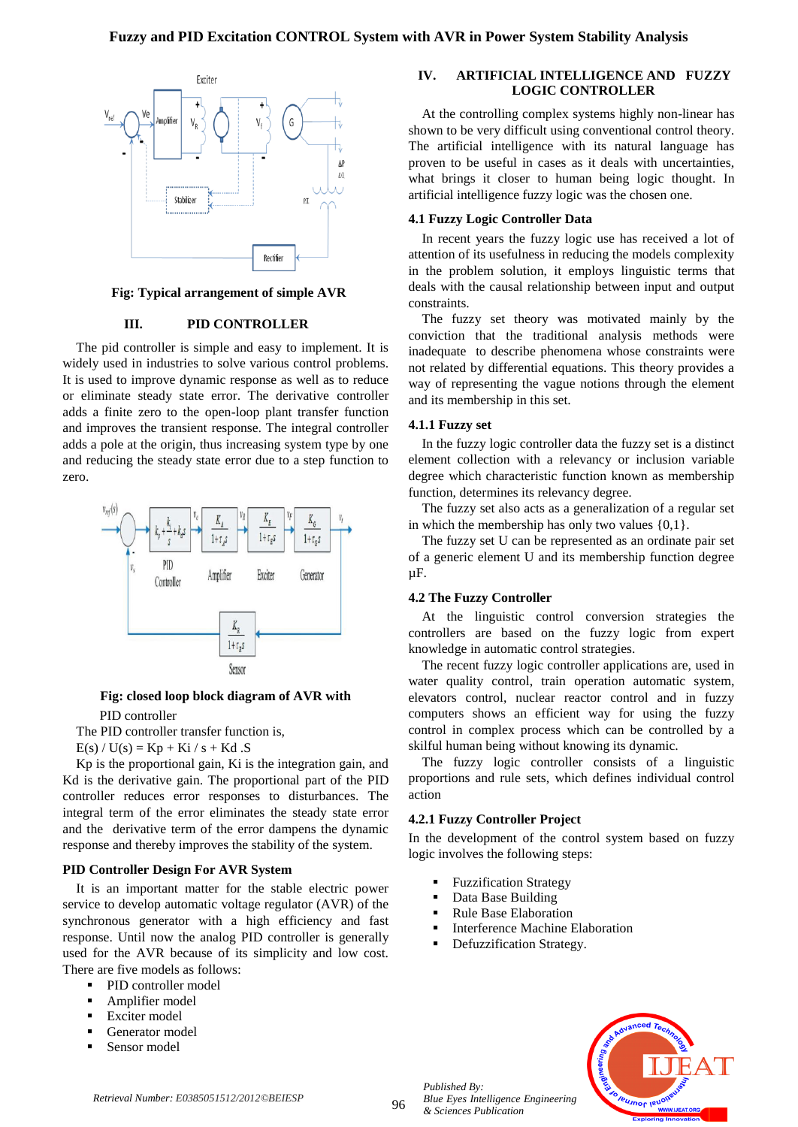

**Fig: Typical arrangement of simple AVR**

## **III. PID CONTROLLER**

The pid controller is simple and easy to implement. It is widely used in industries to solve various control problems. It is used to improve dynamic response as well as to reduce or eliminate steady state error. The derivative controller adds a finite zero to the open-loop plant transfer function and improves the transient response. The integral controller adds a pole at the origin, thus increasing system type by one and reducing the steady state error due to a step function to zero.



# **Fig: closed loop block diagram of AVR with**

PID controller

The PID controller transfer function is,

 $E(s) / U(s) = Kp + Ki / s + Kd .S$ 

Kp is the proportional gain, Ki is the integration gain, and Kd is the derivative gain. The proportional part of the PID controller reduces error responses to disturbances. The integral term of the error eliminates the steady state error and the derivative term of the error dampens the dynamic response and thereby improves the stability of the system.

## **PID Controller Design For AVR System**

It is an important matter for the stable electric power service to develop automatic voltage regulator (AVR) of the synchronous generator with a high efficiency and fast response. Until now the analog PID controller is generally used for the AVR because of its simplicity and low cost. There are five models as follows:

- PID controller model
- Amplifier model
- Exciter model
- Generator model
- Sensor model

# **IV. ARTIFICIAL INTELLIGENCE AND FUZZY LOGIC CONTROLLER**

At the controlling complex systems highly non-linear has shown to be very difficult using conventional control theory. The artificial intelligence with its natural language has proven to be useful in cases as it deals with uncertainties, what brings it closer to human being logic thought. In artificial intelligence fuzzy logic was the chosen one.

## **4.1 Fuzzy Logic Controller Data**

In recent years the fuzzy logic use has received a lot of attention of its usefulness in reducing the models complexity in the problem solution, it employs linguistic terms that deals with the causal relationship between input and output constraints.

The fuzzy set theory was motivated mainly by the conviction that the traditional analysis methods were inadequate to describe phenomena whose constraints were not related by differential equations. This theory provides a way of representing the vague notions through the element and its membership in this set.

## **4.1.1 Fuzzy set**

In the fuzzy logic controller data the fuzzy set is a distinct element collection with a relevancy or inclusion variable degree which characteristic function known as membership function, determines its relevancy degree.

The fuzzy set also acts as a generalization of a regular set in which the membership has only two values  $\{0,1\}$ .

The fuzzy set U can be represented as an ordinate pair set of a generic element U and its membership function degree µF.

# **4.2 The Fuzzy Controller**

At the linguistic control conversion strategies the controllers are based on the fuzzy logic from expert knowledge in automatic control strategies.

The recent fuzzy logic controller applications are, used in water quality control, train operation automatic system, elevators control, nuclear reactor control and in fuzzy computers shows an efficient way for using the fuzzy control in complex process which can be controlled by a skilful human being without knowing its dynamic.

The fuzzy logic controller consists of a linguistic proportions and rule sets, which defines individual control action

#### **4.2.1 Fuzzy Controller Project**

In the development of the control system based on fuzzy logic involves the following steps:

- Fuzzification Strategy
- Data Base Building
- Rule Base Elaboration

*Blue Eyes Intelligence Engineering* 

- Interference Machine Elaboration
- Defuzzification Strategy.



*Published By:*

*& Sciences Publication*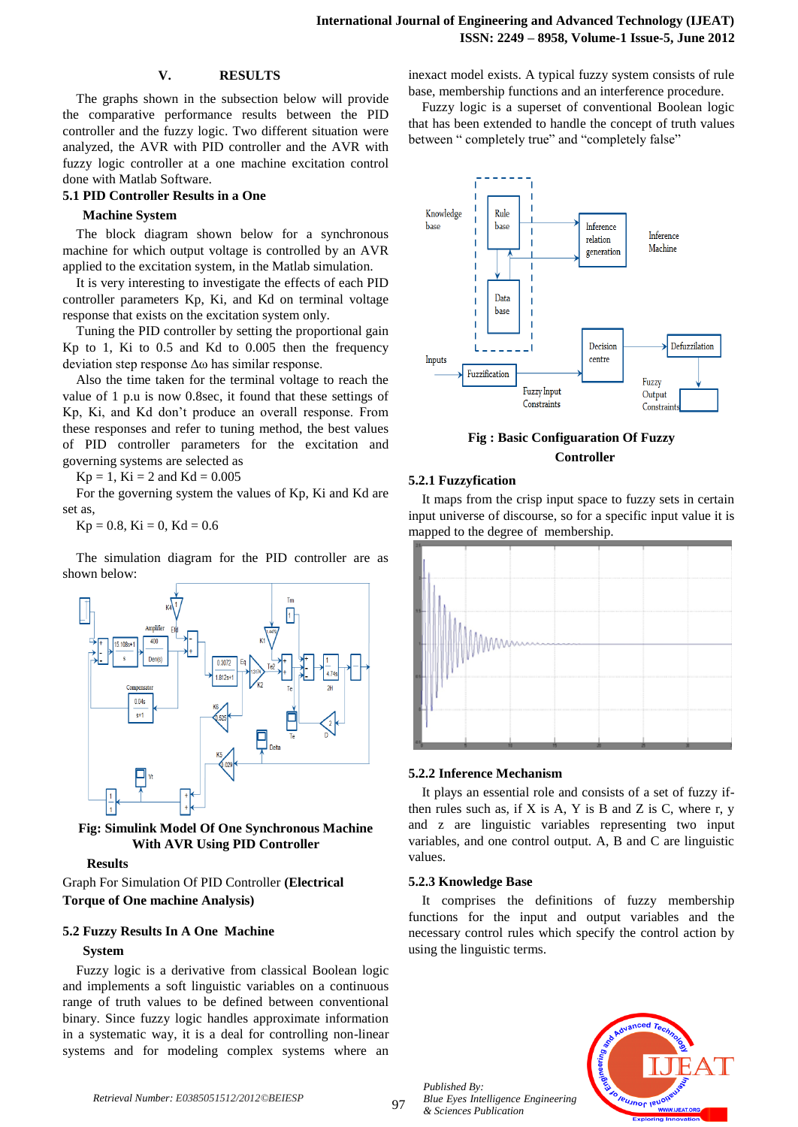## **V. RESULTS**

The graphs shown in the subsection below will provide the comparative performance results between the PID controller and the fuzzy logic. Two different situation were analyzed, the AVR with PID controller and the AVR with fuzzy logic controller at a one machine excitation control done with Matlab Software.

# **5.1 PID Controller Results in a One**

## **Machine System**

The block diagram shown below for a synchronous machine for which output voltage is controlled by an AVR applied to the excitation system, in the Matlab simulation.

It is very interesting to investigate the effects of each PID controller parameters Kp, Ki, and Kd on terminal voltage response that exists on the excitation system only.

Tuning the PID controller by setting the proportional gain Kp to 1, Ki to 0.5 and Kd to 0.005 then the frequency deviation step response ∆ω has similar response.

Also the time taken for the terminal voltage to reach the value of 1 p.u is now 0.8sec, it found that these settings of Kp, Ki, and Kd don't produce an overall response. From these responses and refer to tuning method, the best values of PID controller parameters for the excitation and governing systems are selected as

 $Kp = 1$ ,  $Ki = 2$  and  $Kd = 0.005$ 

For the governing system the values of Kp, Ki and Kd are set as,

 $Kp = 0.8$ ,  $Ki = 0$ ,  $Kd = 0.6$ 

The simulation diagram for the PID controller are as shown below:



**Fig: Simulink Model Of One Synchronous Machine With AVR Using PID Controller**

#### **Results**

Graph For Simulation Of PID Controller **(Electrical Torque of One machine Analysis)**

## **5.2 Fuzzy Results In A One Machine**

## **System**

Fuzzy logic is a derivative from classical Boolean logic and implements a soft linguistic variables on a continuous range of truth values to be defined between conventional binary. Since fuzzy logic handles approximate information in a systematic way, it is a deal for controlling non-linear systems and for modeling complex systems where an

inexact model exists. A typical fuzzy system consists of rule base, membership functions and an interference procedure.

Fuzzy logic is a superset of conventional Boolean logic that has been extended to handle the concept of truth values between " completely true" and "completely false"



**Fig : Basic Configuaration Of Fuzzy Controller**

#### **5.2.1 Fuzzyfication**

It maps from the crisp input space to fuzzy sets in certain input universe of discourse, so for a specific input value it is mapped to the degree of membership.



### **5.2.2 Inference Mechanism**

It plays an essential role and consists of a set of fuzzy ifthen rules such as, if  $X$  is  $A$ ,  $Y$  is  $B$  and  $Z$  is  $C$ , where r,  $y$ and z are linguistic variables representing two input variables, and one control output. A, B and C are linguistic values.

#### **5.2.3 Knowledge Base**

It comprises the definitions of fuzzy membership functions for the input and output variables and the necessary control rules which specify the control action by using the linguistic terms.



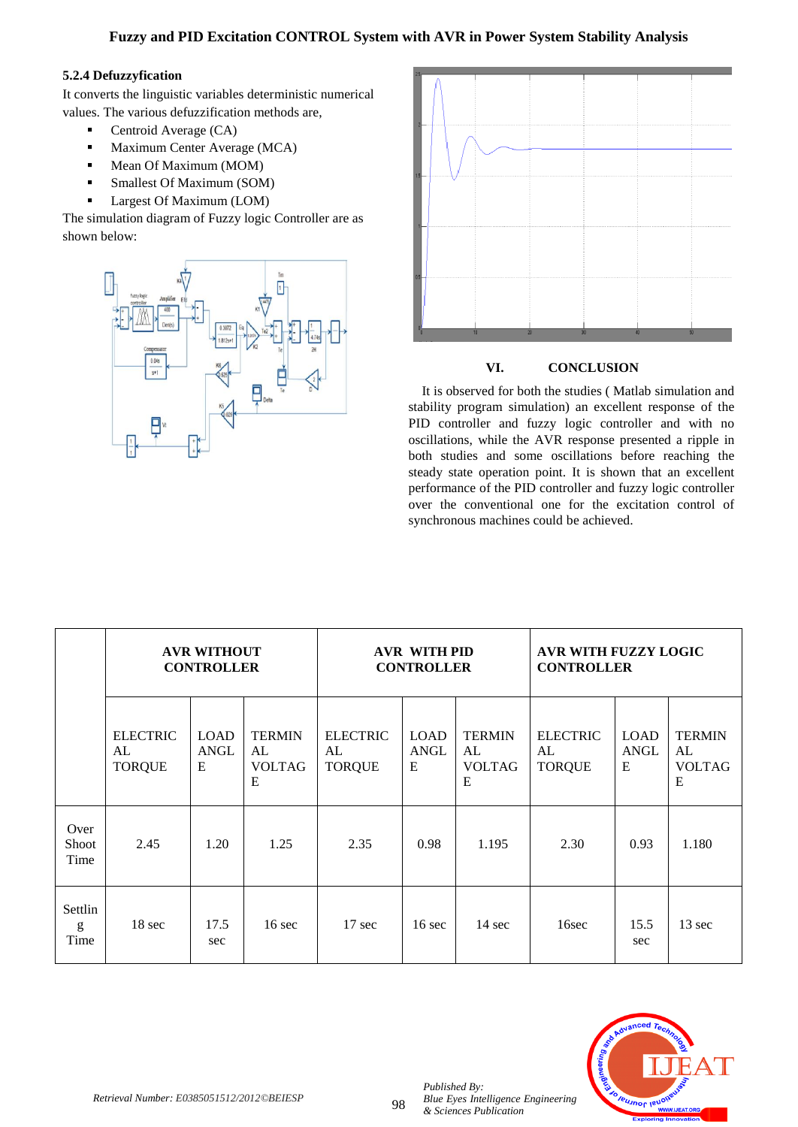# **5.2.4 Defuzzyfication**

It converts the linguistic variables deterministic numerical values. The various defuzzification methods are,

- Centroid Average (CA)
- **Maximum Center Average (MCA)**
- Mean Of Maximum (MOM)
- Smallest Of Maximum (SOM)
- **Largest Of Maximum (LOM)**

The simulation diagram of Fuzzy logic Controller are as shown below:





# **VI. CONCLUSION**

It is observed for both the studies ( Matlab simulation and stability program simulation) an excellent response of the PID controller and fuzzy logic controller and with no oscillations, while the AVR response presented a ripple in both studies and some oscillations before reaching the steady state operation point. It is shown that an excellent performance of the PID controller and fuzzy logic controller over the conventional one for the excitation control of synchronous machines could be achieved.

|                       | <b>AVR WITHOUT</b><br><b>CONTROLLER</b> |                          |                                           | <b>AVR WITH PID</b><br><b>CONTROLLER</b> |                          |                                           | AVR WITH FUZZY LOGIC<br><b>CONTROLLER</b> |                                 |                                           |
|-----------------------|-----------------------------------------|--------------------------|-------------------------------------------|------------------------------------------|--------------------------|-------------------------------------------|-------------------------------------------|---------------------------------|-------------------------------------------|
|                       | <b>ELECTRIC</b><br>AL<br><b>TORQUE</b>  | <b>LOAD</b><br>ANGL<br>E | <b>TERMIN</b><br>AL<br><b>VOLTAG</b><br>E | <b>ELECTRIC</b><br>AL<br><b>TORQUE</b>   | <b>LOAD</b><br>ANGL<br>E | <b>TERMIN</b><br>AL<br><b>VOLTAG</b><br>E | <b>ELECTRIC</b><br>AL<br><b>TORQUE</b>    | <b>LOAD</b><br><b>ANGL</b><br>E | <b>TERMIN</b><br>AL<br><b>VOLTAG</b><br>E |
| Over<br>Shoot<br>Time | 2.45                                    | 1.20                     | 1.25                                      | 2.35                                     | 0.98                     | 1.195                                     | 2.30                                      | 0.93                            | 1.180                                     |
| Settlin<br>g<br>Time  | 18 sec                                  | 17.5<br>sec              | $16 \text{ sec}$                          | $17 \text{ sec}$                         | $16 \text{ sec}$         | $14 \text{ sec}$                          | 16sec                                     | 15.5<br>sec                     | 13 sec                                    |



*Published By:*

*& Sciences Publication*